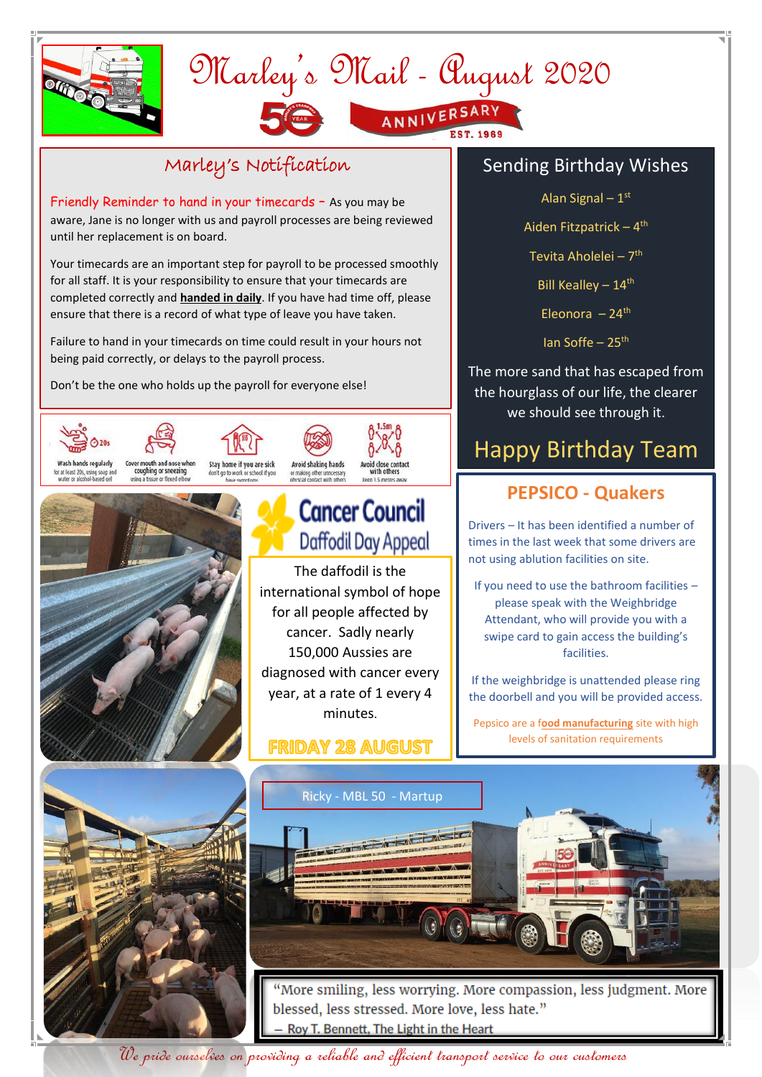

# Marley's Mail - August 2020 ANNIVERSARY

### Marley's Notification

Friendly Reminder to hand in your timecards – As you may be aware, Jane is no longer with us and payroll processes are being reviewed until her replacement is on board.

Your timecards are an important step for payroll to be processed smoothly for all staff. It is your responsibility to ensure that your timecards are completed correctly and **handed in daily**. If you have had time off, please ensure that there is a record of what type of leave you have taken.

Failure to hand in your timecards on time could result in your hours not being paid correctly, or delays to the payroll process.

Don't be the one who holds up the payroll for everyone else!







# **Cancer Council** Daffodil Day Appeal

The daffodil is the international symbol of hope for all people affected by cancer. Sadly nearly 150,000 Aussies are diagnosed with cancer every year, at a rate of 1 every 4 minutes.

#### **FRIDAY 28 AUGUST**

#### Sending Birthday Wishes

Alan Signal – 1 st

Aiden Fitzpatrick – 4<sup>th</sup>

Tevita Aholelei – 7<sup>th</sup>

Bill Kealley  $-14<sup>th</sup>$ 

Eleonora  $-24$ <sup>th</sup>

Ian Soffe –  $25<sup>th</sup>$ 

The more sand that has escaped from the hourglass of our life, the clearer we should see through it.

## Happy Birthday Team

### **PEPSICO - Quakers**

Drivers – It has been identified a number of times in the last week that some drivers are not using ablution facilities on site.

If you need to use the bathroom facilities – please speak with the Weighbridge Attendant, who will provide you with a swipe card to gain access the building's facilities.

If the weighbridge is unattended please ring the doorbell and you will be provided access.

Pepsico are a f**ood manufacturing** site with high levels of sanitation requirements





blessed, less stressed. More love, less hate." Roy T. Bennett, The Light in the Heart

We pride ourselves on providing a reliable and efficient transport service to our customers